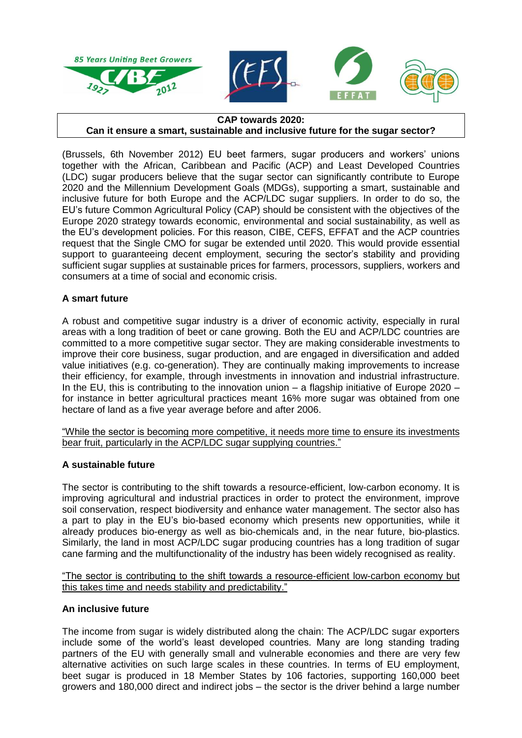

#### **CAP towards 2020: Can it ensure a smart, sustainable and inclusive future for the sugar sector?**

(Brussels, 6th November 2012) EU beet farmers, sugar producers and workers' unions together with the African, Caribbean and Pacific (ACP) and Least Developed Countries (LDC) sugar producers believe that the sugar sector can significantly contribute to Europe 2020 and the Millennium Development Goals (MDGs), supporting a smart, sustainable and inclusive future for both Europe and the ACP/LDC sugar suppliers. In order to do so, the EU's future Common Agricultural Policy (CAP) should be consistent with the objectives of the Europe 2020 strategy towards economic, environmental and social sustainability, as well as the EU's development policies. For this reason, CIBE, CEFS, EFFAT and the ACP countries request that the Single CMO for sugar be extended until 2020. This would provide essential support to guaranteeing decent employment, securing the sector's stability and providing sufficient sugar supplies at sustainable prices for farmers, processors, suppliers, workers and consumers at a time of social and economic crisis.

# **A smart future**

A robust and competitive sugar industry is a driver of economic activity, especially in rural areas with a long tradition of beet or cane growing. Both the EU and ACP/LDC countries are committed to a more competitive sugar sector. They are making considerable investments to improve their core business, sugar production, and are engaged in diversification and added value initiatives (e.g. co-generation). They are continually making improvements to increase their efficiency, for example, through investments in innovation and industrial infrastructure. In the EU, this is contributing to the innovation union – a flagship initiative of Europe 2020 – for instance in better agricultural practices meant 16% more sugar was obtained from one hectare of land as a five year average before and after 2006.

"While the sector is becoming more competitive, it needs more time to ensure its investments bear fruit, particularly in the ACP/LDC sugar supplying countries."

## **A sustainable future**

The sector is contributing to the shift towards a resource-efficient, low-carbon economy. It is improving agricultural and industrial practices in order to protect the environment, improve soil conservation, respect biodiversity and enhance water management. The sector also has a part to play in the EU's bio-based economy which presents new opportunities, while it already produces bio-energy as well as bio-chemicals and, in the near future, bio-plastics. Similarly, the land in most ACP/LDC sugar producing countries has a long tradition of sugar cane farming and the multifunctionality of the industry has been widely recognised as reality.

"The sector is contributing to the shift towards a resource-efficient low-carbon economy but this takes time and needs stability and predictability."

## **An inclusive future**

The income from sugar is widely distributed along the chain: The ACP/LDC sugar exporters include some of the world's least developed countries. Many are long standing trading partners of the EU with generally small and vulnerable economies and there are very few alternative activities on such large scales in these countries. In terms of EU employment, beet sugar is produced in 18 Member States by 106 factories, supporting 160,000 beet growers and 180,000 direct and indirect jobs – the sector is the driver behind a large number